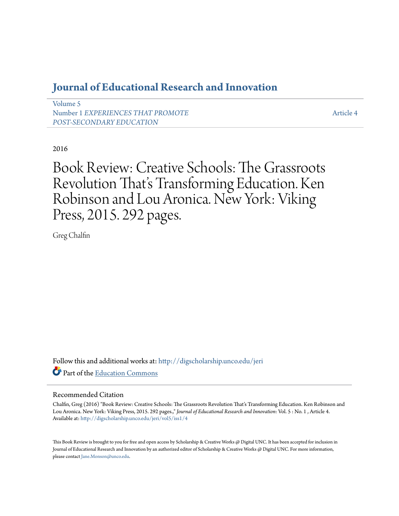## **[Journal of Educational Research and Innovation](http://digscholarship.unco.edu/jeri?utm_source=digscholarship.unco.edu%2Fjeri%2Fvol5%2Fiss1%2F4&utm_medium=PDF&utm_campaign=PDFCoverPages)**

[Volume 5](http://digscholarship.unco.edu/jeri/vol5?utm_source=digscholarship.unco.edu%2Fjeri%2Fvol5%2Fiss1%2F4&utm_medium=PDF&utm_campaign=PDFCoverPages) Number 1 *[EXPERIENCES THAT PROMOTE](http://digscholarship.unco.edu/jeri/vol5/iss1?utm_source=digscholarship.unco.edu%2Fjeri%2Fvol5%2Fiss1%2F4&utm_medium=PDF&utm_campaign=PDFCoverPages) [POST-SECONDARY EDUCATION](http://digscholarship.unco.edu/jeri/vol5/iss1?utm_source=digscholarship.unco.edu%2Fjeri%2Fvol5%2Fiss1%2F4&utm_medium=PDF&utm_campaign=PDFCoverPages)*

[Article 4](http://digscholarship.unco.edu/jeri/vol5/iss1/4?utm_source=digscholarship.unco.edu%2Fjeri%2Fvol5%2Fiss1%2F4&utm_medium=PDF&utm_campaign=PDFCoverPages)

2016

Book Review: Creative Schools: The Grassroots Revolution That's Transforming Education. Ken Robinson and Lou Aronica. New York: Viking Press, 2015. 292 pages.

Greg Chalfin

Follow this and additional works at: [http://digscholarship.unco.edu/jeri](http://digscholarship.unco.edu/jeri?utm_source=digscholarship.unco.edu%2Fjeri%2Fvol5%2Fiss1%2F4&utm_medium=PDF&utm_campaign=PDFCoverPages) Part of the [Education Commons](http://network.bepress.com/hgg/discipline/784?utm_source=digscholarship.unco.edu%2Fjeri%2Fvol5%2Fiss1%2F4&utm_medium=PDF&utm_campaign=PDFCoverPages)

## Recommended Citation

Chalfin, Greg (2016) "Book Review: Creative Schools: The Grassroots Revolution That's Transforming Education. Ken Robinson and Lou Aronica. New York: Viking Press, 2015. 292 pages.," *Journal of Educational Research and Innovation*: Vol. 5 : No. 1 , Article 4. Available at: [http://digscholarship.unco.edu/jeri/vol5/iss1/4](http://digscholarship.unco.edu/jeri/vol5/iss1/4?utm_source=digscholarship.unco.edu%2Fjeri%2Fvol5%2Fiss1%2F4&utm_medium=PDF&utm_campaign=PDFCoverPages)

This Book Review is brought to you for free and open access by Scholarship & Creative Works @ Digital UNC. It has been accepted for inclusion in Journal of Educational Research and Innovation by an authorized editor of Scholarship & Creative Works @ Digital UNC. For more information, please contact [Jane.Monson@unco.edu](mailto:Jane.Monson@unco.edu).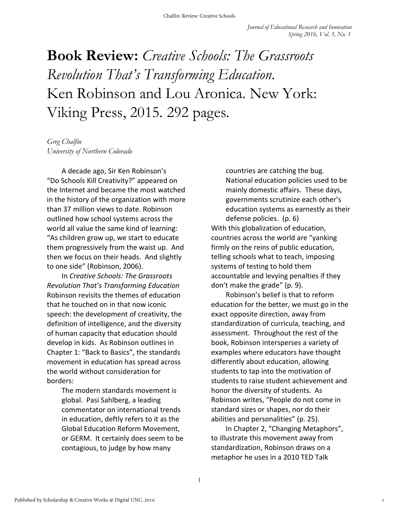## **Book Review:** *Creative Schools: The Grassroots Revolution That's Transforming Education.* Ken Robinson and Lou Aronica. New York: Viking Press, 2015. 292 pages.

*Greg Chalfin University of Northern Colorado*

A decade ago, Sir Ken Robinson's "Do Schools Kill Creativity?" appeared on the Internet and became the most watched in the history of the organization with more than 37 million views to date. Robinson outlined how school systems across the world all value the same kind of learning: "As children grow up, we start to educate them progressively from the waist up. And then we focus on their heads. And slightly to one side" (Robinson, 2006).

In *Creative Schools: The Grassroots Revolution That's Transforming Education*  Robinson revisits the themes of education that he touched on in that now iconic speech: the development of creativity, the definition of intelligence, and the diversity of human capacity that education should develop in kids. As Robinson outlines in Chapter 1: "Back to Basics", the standards movement in education has spread across the world without consideration for borders:

> The modern standards movement is global. Pasi Sahlberg, a leading commentator on international trends in education, deftly refers to it as the Global Education Reform Movement, or GERM. It certainly does seem to be contagious, to judge by how many

countries are catching the bug. National education policies used to be mainly domestic affairs. These days, governments scrutinize each other's education systems as earnestly as their defense policies. (p. 6) With this globalization of education, countries across the world are "yanking firmly on the reins of public education, telling schools what to teach, imposing systems of testing to hold them accountable and levying penalties if they don't make the grade" (p. 9).

Robinson's belief is that to reform education for the better, we must go in the exact opposite direction, away from standardization of curricula, teaching, and assessment. Throughout the rest of the book, Robinson intersperses a variety of examples where educators have thought differently about education, allowing students to tap into the motivation of students to raise student achievement and honor the diversity of students. As Robinson writes, "People do not come in standard sizes or shapes, nor do their abilities and personalities" (p. 25).

In Chapter 2, "Changing Metaphors", to illustrate this movement away from standardization, Robinson draws on a metaphor he uses in a 2010 TED Talk

1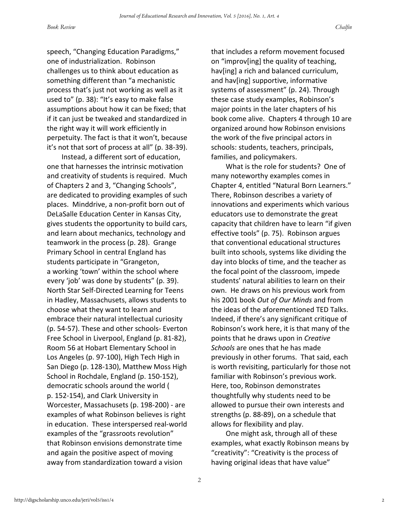speech, "Changing Education Paradigms," one of industrialization. Robinson challenges us to think about education as something different than "a mechanistic process that's just not working as well as it used to" (p. 38): "It's easy to make false assumptions about how it can be fixed; that if it can just be tweaked and standardized in the right way it will work efficiently in perpetuity. The fact is that it won't, because it's not that sort of process at all" (p. 38-39).

Instead, a different sort of education, one that harnesses the intrinsic motivation and creativity of students is required. Much of Chapters 2 and 3, "Changing Schools", are dedicated to providing examples of such places. Minddrive, a non-profit born out of DeLaSalle Education Center in Kansas City, gives students the opportunity to build cars, and learn about mechanics, technology and teamwork in the process (p. 28). Grange Primary School in central England has students participate in "Grangeton, a working 'town' within the school where every 'job' was done by students" (p. 39). North Star Self-Directed Learning for Teens in Hadley, Massachusets, allows students to choose what they want to learn and embrace their natural intellectual curiosity (p. 54-57). These and other schools- Everton Free School in Liverpool, England (p. 81-82), Room 56 at Hobart Elementary School in Los Angeles (p. 97-100), High Tech High in San Diego (p. 128-130), Matthew Moss High School in Rochdale, England (p. 150-152), democratic schools around the world ( p. 152-154), and Clark University in Worcester, Massachusets (p. 198-200) - are examples of what Robinson believes is right in education. These interspersed real-world examples of the "grassroots revolution" that Robinson envisions demonstrate time and again the positive aspect of moving away from standardization toward a vision

that includes a reform movement focused on "improv[ing] the quality of teaching, hav[ing] a rich and balanced curriculum, and hav[ing] supportive, informative systems of assessment" (p. 24). Through these case study examples, Robinson's major points in the later chapters of his book come alive. Chapters 4 through 10 are organized around how Robinson envisions the work of the five principal actors in schools: students, teachers, principals, families, and policymakers.

What is the role for students? One of many noteworthy examples comes in Chapter 4, entitled "Natural Born Learners." There, Robinson describes a variety of innovations and experiments which various educators use to demonstrate the great capacity that children have to learn "if given effective tools" (p. 75). Robinson argues that conventional educational structures built into schools, systems like dividing the day into blocks of time, and the teacher as the focal point of the classroom, impede students' natural abilities to learn on their own. He draws on his previous work from his 2001 book *Out of Our Minds* and from the ideas of the aforementioned TED Talks. Indeed, if there's any significant critique of Robinson's work here, it is that many of the points that he draws upon in *Creative Schools* are ones that he has made previously in other forums. That said, each is worth revisiting, particularly for those not familiar with Robinson's previous work. Here, too, Robinson demonstrates thoughtfully why students need to be allowed to pursue their own interests and strengths (p. 88-89), on a schedule that allows for flexibility and play.

One might ask, through all of these examples, what exactly Robinson means by "creativity": "Creativity is the process of having original ideas that have value"